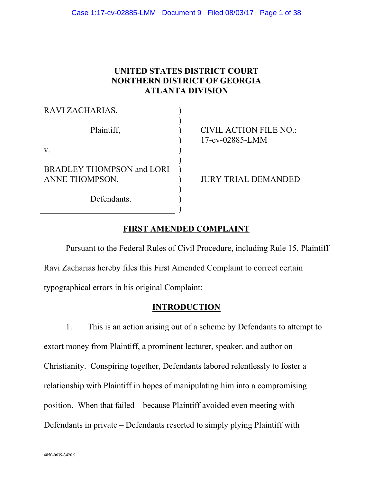# **UNITED STATES DISTRICT COURT NORTHERN DISTRICT OF GEORGIA ATLANTA DIVISION**

| RAVI ZACHARIAS,                                    |                                                  |
|----------------------------------------------------|--------------------------------------------------|
| Plaintiff,                                         | <b>CIVIL ACTION FILE NO.:</b><br>17-cv-02885-LMM |
| V.                                                 |                                                  |
| <b>BRADLEY THOMPSON and LORI</b><br>ANNE THOMPSON, | <b>JURY TRIAL DEMANDED</b>                       |
| Defendants.                                        |                                                  |

# **FIRST AMENDED COMPLAINT**

Pursuant to the Federal Rules of Civil Procedure, including Rule 15, Plaintiff Ravi Zacharias hereby files this First Amended Complaint to correct certain typographical errors in his original Complaint:

# **INTRODUCTION**

1. This is an action arising out of a scheme by Defendants to attempt to extort money from Plaintiff, a prominent lecturer, speaker, and author on Christianity. Conspiring together, Defendants labored relentlessly to foster a relationship with Plaintiff in hopes of manipulating him into a compromising position. When that failed – because Plaintiff avoided even meeting with Defendants in private – Defendants resorted to simply plying Plaintiff with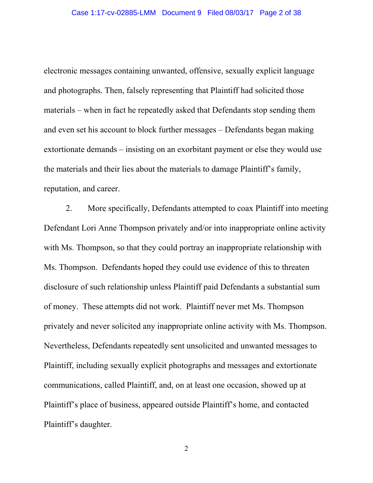electronic messages containing unwanted, offensive, sexually explicit language and photographs. Then, falsely representing that Plaintiff had solicited those materials – when in fact he repeatedly asked that Defendants stop sending them and even set his account to block further messages – Defendants began making extortionate demands – insisting on an exorbitant payment or else they would use the materials and their lies about the materials to damage Plaintiff's family, reputation, and career.

2. More specifically, Defendants attempted to coax Plaintiff into meeting Defendant Lori Anne Thompson privately and/or into inappropriate online activity with Ms. Thompson, so that they could portray an inappropriate relationship with Ms. Thompson. Defendants hoped they could use evidence of this to threaten disclosure of such relationship unless Plaintiff paid Defendants a substantial sum of money. These attempts did not work. Plaintiff never met Ms. Thompson privately and never solicited any inappropriate online activity with Ms. Thompson. Nevertheless, Defendants repeatedly sent unsolicited and unwanted messages to Plaintiff, including sexually explicit photographs and messages and extortionate communications, called Plaintiff, and, on at least one occasion, showed up at Plaintiff's place of business, appeared outside Plaintiff's home, and contacted Plaintiff's daughter.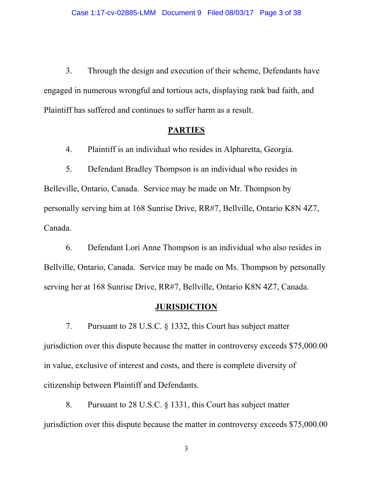3. Through the design and execution of their scheme, Defendants have engaged in numerous wrongful and tortious acts, displaying rank bad faith, and Plaintiff has suffered and continues to suffer harm as a result.

### **PARTIES**

4. Plaintiff is an individual who resides in Alpharetta, Georgia.

5. Defendant Bradley Thompson is an individual who resides in Belleville, Ontario, Canada. Service may be made on Mr. Thompson by personally serving him at 168 Sunrise Drive, RR#7, Bellville, Ontario K8N 4Z7, Canada.

6. Defendant Lori Anne Thompson is an individual who also resides in Bellville, Ontario, Canada. Service may be made on Ms. Thompson by personally serving her at 168 Sunrise Drive, RR#7, Bellville, Ontario K8N 4Z7, Canada.

### **JURISDICTION**

7. Pursuant to 28 U.S.C. § 1332, this Court has subject matter jurisdiction over this dispute because the matter in controversy exceeds \$75,000.00 in value, exclusive of interest and costs, and there is complete diversity of citizenship between Plaintiff and Defendants.

8. Pursuant to 28 U.S.C. § 1331, this Court has subject matter jurisdiction over this dispute because the matter in controversy exceeds \$75,000.00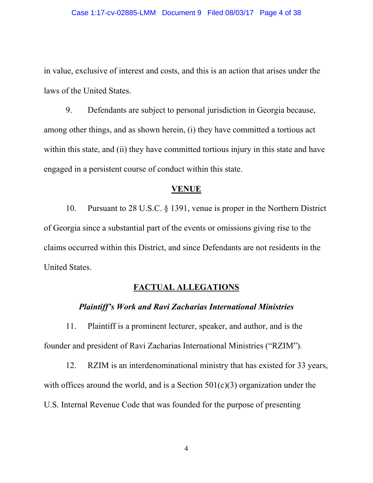in value, exclusive of interest and costs, and this is an action that arises under the laws of the United States.

9. Defendants are subject to personal jurisdiction in Georgia because, among other things, and as shown herein, (i) they have committed a tortious act within this state, and (ii) they have committed tortious injury in this state and have engaged in a persistent course of conduct within this state.

#### **VENUE**

10. Pursuant to 28 U.S.C. § 1391, venue is proper in the Northern District of Georgia since a substantial part of the events or omissions giving rise to the claims occurred within this District, and since Defendants are not residents in the United States.

### **FACTUAL ALLEGATIONS**

#### *Plaintiff's Work and Ravi Zacharias International Ministries*

11. Plaintiff is a prominent lecturer, speaker, and author, and is the founder and president of Ravi Zacharias International Ministries ("RZIM").

12. RZIM is an interdenominational ministry that has existed for 33 years, with offices around the world, and is a Section  $501(c)(3)$  organization under the U.S. Internal Revenue Code that was founded for the purpose of presenting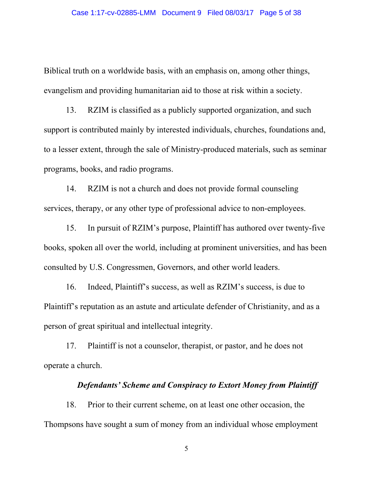Biblical truth on a worldwide basis, with an emphasis on, among other things, evangelism and providing humanitarian aid to those at risk within a society.

13. RZIM is classified as a publicly supported organization, and such support is contributed mainly by interested individuals, churches, foundations and, to a lesser extent, through the sale of Ministry-produced materials, such as seminar programs, books, and radio programs.

14. RZIM is not a church and does not provide formal counseling services, therapy, or any other type of professional advice to non-employees.

15. In pursuit of RZIM's purpose, Plaintiff has authored over twenty-five books, spoken all over the world, including at prominent universities, and has been consulted by U.S. Congressmen, Governors, and other world leaders.

16. Indeed, Plaintiff's success, as well as RZIM's success, is due to Plaintiff's reputation as an astute and articulate defender of Christianity, and as a person of great spiritual and intellectual integrity.

17. Plaintiff is not a counselor, therapist, or pastor, and he does not operate a church.

### *Defendants' Scheme and Conspiracy to Extort Money from Plaintiff*

18. Prior to their current scheme, on at least one other occasion, the Thompsons have sought a sum of money from an individual whose employment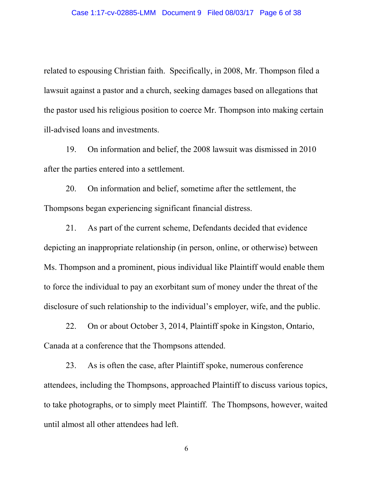related to espousing Christian faith. Specifically, in 2008, Mr. Thompson filed a lawsuit against a pastor and a church, seeking damages based on allegations that the pastor used his religious position to coerce Mr. Thompson into making certain ill-advised loans and investments.

19. On information and belief, the 2008 lawsuit was dismissed in 2010 after the parties entered into a settlement.

20. On information and belief, sometime after the settlement, the Thompsons began experiencing significant financial distress.

21. As part of the current scheme, Defendants decided that evidence depicting an inappropriate relationship (in person, online, or otherwise) between Ms. Thompson and a prominent, pious individual like Plaintiff would enable them to force the individual to pay an exorbitant sum of money under the threat of the disclosure of such relationship to the individual's employer, wife, and the public.

22. On or about October 3, 2014, Plaintiff spoke in Kingston, Ontario, Canada at a conference that the Thompsons attended.

23. As is often the case, after Plaintiff spoke, numerous conference attendees, including the Thompsons, approached Plaintiff to discuss various topics, to take photographs, or to simply meet Plaintiff. The Thompsons, however, waited until almost all other attendees had left.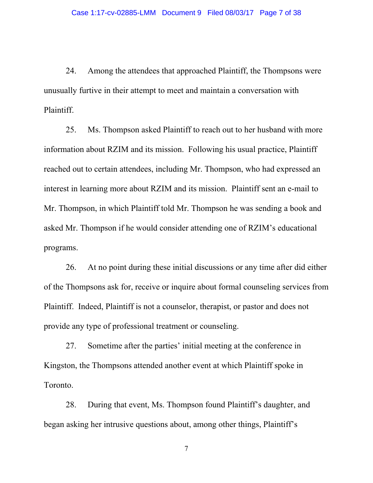24. Among the attendees that approached Plaintiff, the Thompsons were unusually furtive in their attempt to meet and maintain a conversation with Plaintiff.

25. Ms. Thompson asked Plaintiff to reach out to her husband with more information about RZIM and its mission. Following his usual practice, Plaintiff reached out to certain attendees, including Mr. Thompson, who had expressed an interest in learning more about RZIM and its mission. Plaintiff sent an e-mail to Mr. Thompson, in which Plaintiff told Mr. Thompson he was sending a book and asked Mr. Thompson if he would consider attending one of RZIM's educational programs.

26. At no point during these initial discussions or any time after did either of the Thompsons ask for, receive or inquire about formal counseling services from Plaintiff. Indeed, Plaintiff is not a counselor, therapist, or pastor and does not provide any type of professional treatment or counseling.

27. Sometime after the parties' initial meeting at the conference in Kingston, the Thompsons attended another event at which Plaintiff spoke in Toronto.

28. During that event, Ms. Thompson found Plaintiff's daughter, and began asking her intrusive questions about, among other things, Plaintiff's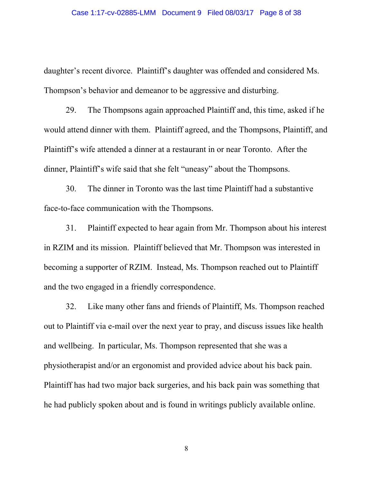daughter's recent divorce. Plaintiff's daughter was offended and considered Ms. Thompson's behavior and demeanor to be aggressive and disturbing.

29. The Thompsons again approached Plaintiff and, this time, asked if he would attend dinner with them. Plaintiff agreed, and the Thompsons, Plaintiff, and Plaintiff's wife attended a dinner at a restaurant in or near Toronto. After the dinner, Plaintiff's wife said that she felt "uneasy" about the Thompsons.

30. The dinner in Toronto was the last time Plaintiff had a substantive face-to-face communication with the Thompsons.

31. Plaintiff expected to hear again from Mr. Thompson about his interest in RZIM and its mission. Plaintiff believed that Mr. Thompson was interested in becoming a supporter of RZIM. Instead, Ms. Thompson reached out to Plaintiff and the two engaged in a friendly correspondence.

32. Like many other fans and friends of Plaintiff, Ms. Thompson reached out to Plaintiff via e-mail over the next year to pray, and discuss issues like health and wellbeing. In particular, Ms. Thompson represented that she was a physiotherapist and/or an ergonomist and provided advice about his back pain. Plaintiff has had two major back surgeries, and his back pain was something that he had publicly spoken about and is found in writings publicly available online.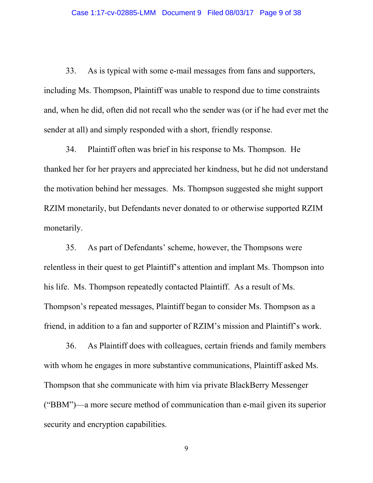33. As is typical with some e-mail messages from fans and supporters, including Ms. Thompson, Plaintiff was unable to respond due to time constraints and, when he did, often did not recall who the sender was (or if he had ever met the sender at all) and simply responded with a short, friendly response.

34. Plaintiff often was brief in his response to Ms. Thompson. He thanked her for her prayers and appreciated her kindness, but he did not understand the motivation behind her messages. Ms. Thompson suggested she might support RZIM monetarily, but Defendants never donated to or otherwise supported RZIM monetarily.

35. As part of Defendants' scheme, however, the Thompsons were relentless in their quest to get Plaintiff's attention and implant Ms. Thompson into his life. Ms. Thompson repeatedly contacted Plaintiff. As a result of Ms. Thompson's repeated messages, Plaintiff began to consider Ms. Thompson as a friend, in addition to a fan and supporter of RZIM's mission and Plaintiff's work.

36. As Plaintiff does with colleagues, certain friends and family members with whom he engages in more substantive communications, Plaintiff asked Ms. Thompson that she communicate with him via private BlackBerry Messenger ("BBM")—a more secure method of communication than e-mail given its superior security and encryption capabilities.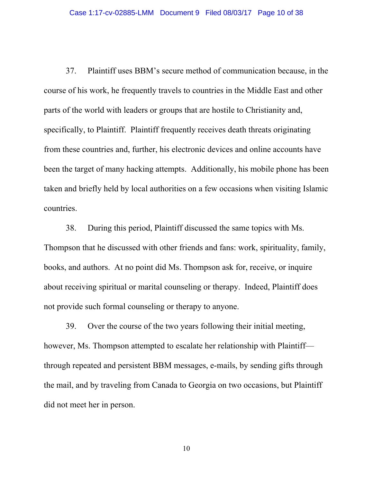37. Plaintiff uses BBM's secure method of communication because, in the course of his work, he frequently travels to countries in the Middle East and other parts of the world with leaders or groups that are hostile to Christianity and, specifically, to Plaintiff. Plaintiff frequently receives death threats originating from these countries and, further, his electronic devices and online accounts have been the target of many hacking attempts. Additionally, his mobile phone has been taken and briefly held by local authorities on a few occasions when visiting Islamic countries.

38. During this period, Plaintiff discussed the same topics with Ms. Thompson that he discussed with other friends and fans: work, spirituality, family, books, and authors. At no point did Ms. Thompson ask for, receive, or inquire about receiving spiritual or marital counseling or therapy. Indeed, Plaintiff does not provide such formal counseling or therapy to anyone.

39. Over the course of the two years following their initial meeting, however, Ms. Thompson attempted to escalate her relationship with Plaintiff through repeated and persistent BBM messages, e-mails, by sending gifts through the mail, and by traveling from Canada to Georgia on two occasions, but Plaintiff did not meet her in person.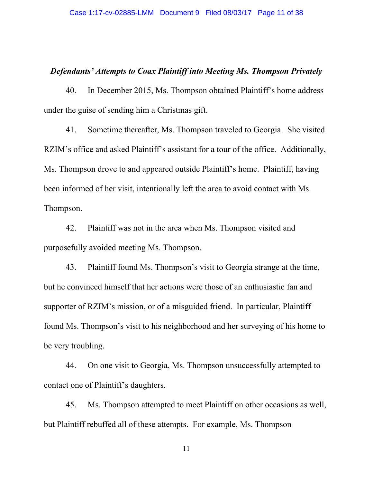### *Defendants' Attempts to Coax Plaintiff into Meeting Ms. Thompson Privately*

40. In December 2015, Ms. Thompson obtained Plaintiff's home address under the guise of sending him a Christmas gift.

41. Sometime thereafter, Ms. Thompson traveled to Georgia. She visited RZIM's office and asked Plaintiff's assistant for a tour of the office. Additionally, Ms. Thompson drove to and appeared outside Plaintiff's home. Plaintiff, having been informed of her visit, intentionally left the area to avoid contact with Ms. Thompson.

42. Plaintiff was not in the area when Ms. Thompson visited and purposefully avoided meeting Ms. Thompson.

43. Plaintiff found Ms. Thompson's visit to Georgia strange at the time, but he convinced himself that her actions were those of an enthusiastic fan and supporter of RZIM's mission, or of a misguided friend. In particular, Plaintiff found Ms. Thompson's visit to his neighborhood and her surveying of his home to be very troubling.

44. On one visit to Georgia, Ms. Thompson unsuccessfully attempted to contact one of Plaintiff's daughters.

45. Ms. Thompson attempted to meet Plaintiff on other occasions as well, but Plaintiff rebuffed all of these attempts. For example, Ms. Thompson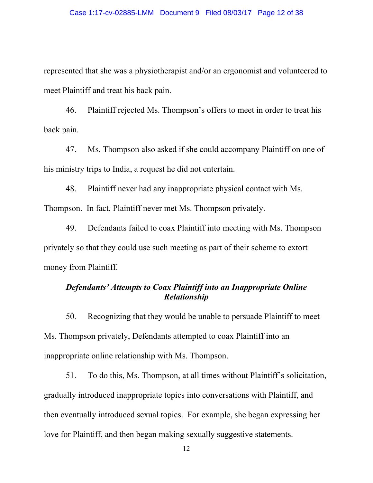represented that she was a physiotherapist and/or an ergonomist and volunteered to meet Plaintiff and treat his back pain.

46. Plaintiff rejected Ms. Thompson's offers to meet in order to treat his back pain.

47. Ms. Thompson also asked if she could accompany Plaintiff on one of his ministry trips to India, a request he did not entertain.

48. Plaintiff never had any inappropriate physical contact with Ms. Thompson. In fact, Plaintiff never met Ms. Thompson privately.

49. Defendants failed to coax Plaintiff into meeting with Ms. Thompson privately so that they could use such meeting as part of their scheme to extort money from Plaintiff.

# *Defendants' Attempts to Coax Plaintiff into an Inappropriate Online Relationship*

50. Recognizing that they would be unable to persuade Plaintiff to meet Ms. Thompson privately, Defendants attempted to coax Plaintiff into an inappropriate online relationship with Ms. Thompson.

51. To do this, Ms. Thompson, at all times without Plaintiff's solicitation, gradually introduced inappropriate topics into conversations with Plaintiff, and then eventually introduced sexual topics. For example, she began expressing her love for Plaintiff, and then began making sexually suggestive statements.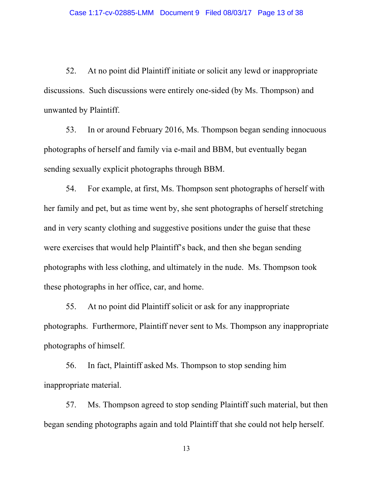52. At no point did Plaintiff initiate or solicit any lewd or inappropriate discussions. Such discussions were entirely one-sided (by Ms. Thompson) and unwanted by Plaintiff.

53. In or around February 2016, Ms. Thompson began sending innocuous photographs of herself and family via e-mail and BBM, but eventually began sending sexually explicit photographs through BBM.

54. For example, at first, Ms. Thompson sent photographs of herself with her family and pet, but as time went by, she sent photographs of herself stretching and in very scanty clothing and suggestive positions under the guise that these were exercises that would help Plaintiff's back, and then she began sending photographs with less clothing, and ultimately in the nude. Ms. Thompson took these photographs in her office, car, and home.

55. At no point did Plaintiff solicit or ask for any inappropriate photographs. Furthermore, Plaintiff never sent to Ms. Thompson any inappropriate photographs of himself.

56. In fact, Plaintiff asked Ms. Thompson to stop sending him inappropriate material.

57. Ms. Thompson agreed to stop sending Plaintiff such material, but then began sending photographs again and told Plaintiff that she could not help herself.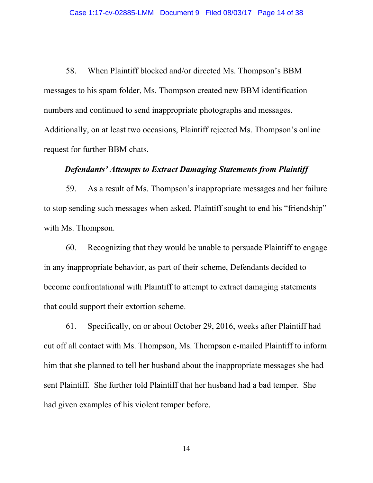58. When Plaintiff blocked and/or directed Ms. Thompson's BBM messages to his spam folder, Ms. Thompson created new BBM identification numbers and continued to send inappropriate photographs and messages. Additionally, on at least two occasions, Plaintiff rejected Ms. Thompson's online request for further BBM chats.

# *Defendants' Attempts to Extract Damaging Statements from Plaintiff*

59. As a result of Ms. Thompson's inappropriate messages and her failure to stop sending such messages when asked, Plaintiff sought to end his "friendship" with Ms. Thompson.

60. Recognizing that they would be unable to persuade Plaintiff to engage in any inappropriate behavior, as part of their scheme, Defendants decided to become confrontational with Plaintiff to attempt to extract damaging statements that could support their extortion scheme.

61. Specifically, on or about October 29, 2016, weeks after Plaintiff had cut off all contact with Ms. Thompson, Ms. Thompson e-mailed Plaintiff to inform him that she planned to tell her husband about the inappropriate messages she had sent Plaintiff. She further told Plaintiff that her husband had a bad temper. She had given examples of his violent temper before.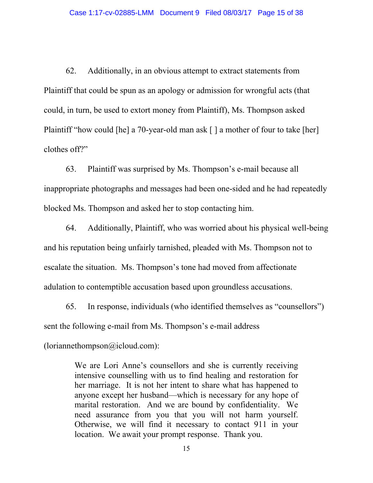62. Additionally, in an obvious attempt to extract statements from Plaintiff that could be spun as an apology or admission for wrongful acts (that could, in turn, be used to extort money from Plaintiff), Ms. Thompson asked Plaintiff "how could [he] a 70-year-old man ask [] a mother of four to take [her] clothes off?"

63. Plaintiff was surprised by Ms. Thompson's e-mail because all inappropriate photographs and messages had been one-sided and he had repeatedly blocked Ms. Thompson and asked her to stop contacting him.

64. Additionally, Plaintiff, who was worried about his physical well-being and his reputation being unfairly tarnished, pleaded with Ms. Thompson not to escalate the situation. Ms. Thompson's tone had moved from affectionate adulation to contemptible accusation based upon groundless accusations.

65. In response, individuals (who identified themselves as "counsellors") sent the following e-mail from Ms. Thompson's e-mail address

(loriannethompson@icloud.com):

We are Lori Anne's counsellors and she is currently receiving intensive counselling with us to find healing and restoration for her marriage. It is not her intent to share what has happened to anyone except her husband—which is necessary for any hope of marital restoration. And we are bound by confidentiality. We need assurance from you that you will not harm yourself. Otherwise, we will find it necessary to contact 911 in your location. We await your prompt response. Thank you.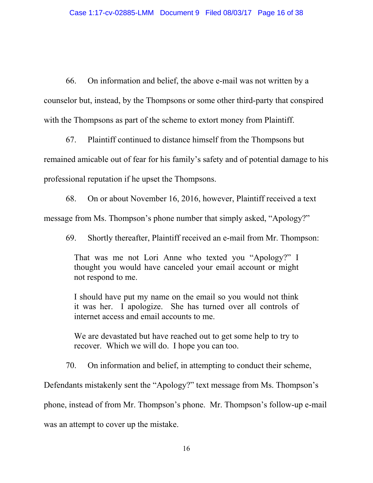66. On information and belief, the above e-mail was not written by a counselor but, instead, by the Thompsons or some other third-party that conspired with the Thompsons as part of the scheme to extort money from Plaintiff.

67. Plaintiff continued to distance himself from the Thompsons but remained amicable out of fear for his family's safety and of potential damage to his professional reputation if he upset the Thompsons.

68. On or about November 16, 2016, however, Plaintiff received a text message from Ms. Thompson's phone number that simply asked, "Apology?"

69. Shortly thereafter, Plaintiff received an e-mail from Mr. Thompson:

That was me not Lori Anne who texted you "Apology?" I thought you would have canceled your email account or might not respond to me.

I should have put my name on the email so you would not think it was her. I apologize. She has turned over all controls of internet access and email accounts to me.

We are devastated but have reached out to get some help to try to recover. Which we will do. I hope you can too.

70. On information and belief, in attempting to conduct their scheme,

Defendants mistakenly sent the "Apology?" text message from Ms. Thompson's

phone, instead of from Mr. Thompson's phone. Mr. Thompson's follow-up e-mail

was an attempt to cover up the mistake.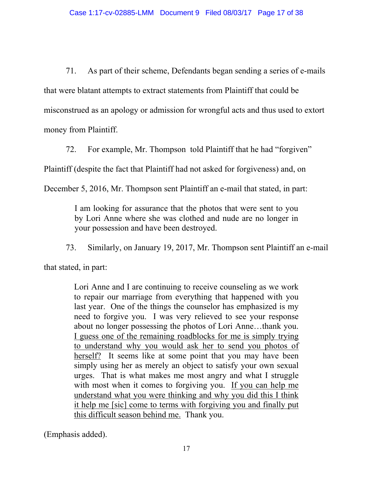71. As part of their scheme, Defendants began sending a series of e-mails that were blatant attempts to extract statements from Plaintiff that could be misconstrued as an apology or admission for wrongful acts and thus used to extort money from Plaintiff.

72. For example, Mr. Thompson told Plaintiff that he had "forgiven"

Plaintiff (despite the fact that Plaintiff had not asked for forgiveness) and, on

December 5, 2016, Mr. Thompson sent Plaintiff an e-mail that stated, in part:

I am looking for assurance that the photos that were sent to you by Lori Anne where she was clothed and nude are no longer in your possession and have been destroyed.

73. Similarly, on January 19, 2017, Mr. Thompson sent Plaintiff an e-mail

that stated, in part:

Lori Anne and I are continuing to receive counseling as we work to repair our marriage from everything that happened with you last year. One of the things the counselor has emphasized is my need to forgive you. I was very relieved to see your response about no longer possessing the photos of Lori Anne…thank you. I guess one of the remaining roadblocks for me is simply trying to understand why you would ask her to send you photos of herself? It seems like at some point that you may have been simply using her as merely an object to satisfy your own sexual urges. That is what makes me most angry and what I struggle with most when it comes to forgiving you. If you can help me understand what you were thinking and why you did this I think it help me [sic] come to terms with forgiving you and finally put this difficult season behind me. Thank you.

(Emphasis added).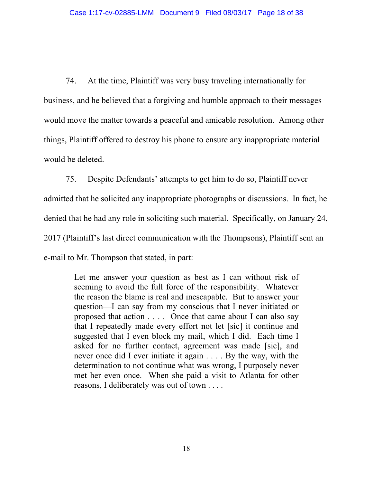74. At the time, Plaintiff was very busy traveling internationally for business, and he believed that a forgiving and humble approach to their messages would move the matter towards a peaceful and amicable resolution. Among other things, Plaintiff offered to destroy his phone to ensure any inappropriate material would be deleted.

75. Despite Defendants' attempts to get him to do so, Plaintiff never admitted that he solicited any inappropriate photographs or discussions. In fact, he denied that he had any role in soliciting such material. Specifically, on January 24, 2017 (Plaintiff's last direct communication with the Thompsons), Plaintiff sent an e-mail to Mr. Thompson that stated, in part:

> Let me answer your question as best as I can without risk of seeming to avoid the full force of the responsibility. Whatever the reason the blame is real and inescapable. But to answer your question—I can say from my conscious that I never initiated or proposed that action . . . . Once that came about I can also say that I repeatedly made every effort not let [sic] it continue and suggested that I even block my mail, which I did. Each time I asked for no further contact, agreement was made [sic], and never once did I ever initiate it again . . . . By the way, with the determination to not continue what was wrong, I purposely never met her even once. When she paid a visit to Atlanta for other reasons, I deliberately was out of town . . . .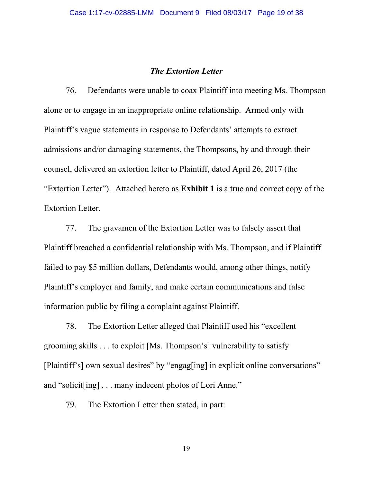#### *The Extortion Letter*

76. Defendants were unable to coax Plaintiff into meeting Ms. Thompson alone or to engage in an inappropriate online relationship. Armed only with Plaintiff's vague statements in response to Defendants' attempts to extract admissions and/or damaging statements, the Thompsons, by and through their counsel, delivered an extortion letter to Plaintiff, dated April 26, 2017 (the "Extortion Letter"). Attached hereto as **Exhibit 1** is a true and correct copy of the Extortion Letter.

77. The gravamen of the Extortion Letter was to falsely assert that Plaintiff breached a confidential relationship with Ms. Thompson, and if Plaintiff failed to pay \$5 million dollars, Defendants would, among other things, notify Plaintiff's employer and family, and make certain communications and false information public by filing a complaint against Plaintiff.

78. The Extortion Letter alleged that Plaintiff used his "excellent grooming skills . . . to exploit [Ms. Thompson's] vulnerability to satisfy [Plaintiff's] own sexual desires" by "engag[ing] in explicit online conversations" and "solicit[ing] . . . many indecent photos of Lori Anne."

79. The Extortion Letter then stated, in part: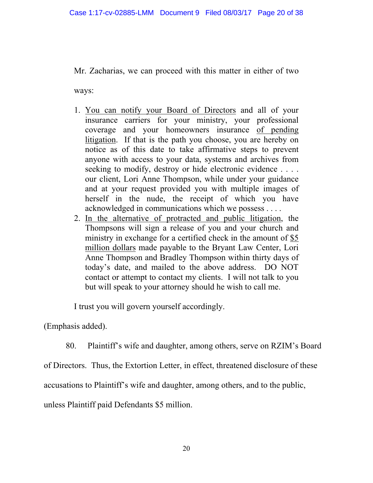Mr. Zacharias, we can proceed with this matter in either of two

ways:

- 1. You can notify your Board of Directors and all of your insurance carriers for your ministry, your professional coverage and your homeowners insurance of pending litigation. If that is the path you choose, you are hereby on notice as of this date to take affirmative steps to prevent anyone with access to your data, systems and archives from seeking to modify, destroy or hide electronic evidence . . . . our client, Lori Anne Thompson, while under your guidance and at your request provided you with multiple images of herself in the nude, the receipt of which you have acknowledged in communications which we possess . . . .
- 2. In the alternative of protracted and public litigation, the Thompsons will sign a release of you and your church and ministry in exchange for a certified check in the amount of \$5 million dollars made payable to the Bryant Law Center, Lori Anne Thompson and Bradley Thompson within thirty days of today's date, and mailed to the above address. DO NOT contact or attempt to contact my clients. I will not talk to you but will speak to your attorney should he wish to call me.

I trust you will govern yourself accordingly.

(Emphasis added).

80. Plaintiff's wife and daughter, among others, serve on RZIM's Board

of Directors. Thus, the Extortion Letter, in effect, threatened disclosure of these

accusations to Plaintiff's wife and daughter, among others, and to the public,

unless Plaintiff paid Defendants \$5 million.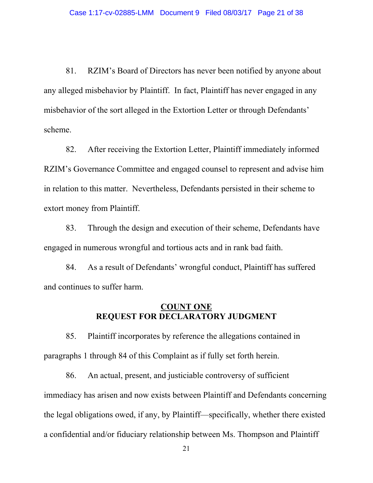81. RZIM's Board of Directors has never been notified by anyone about any alleged misbehavior by Plaintiff. In fact, Plaintiff has never engaged in any misbehavior of the sort alleged in the Extortion Letter or through Defendants' scheme.

82. After receiving the Extortion Letter, Plaintiff immediately informed RZIM's Governance Committee and engaged counsel to represent and advise him in relation to this matter. Nevertheless, Defendants persisted in their scheme to extort money from Plaintiff.

83. Through the design and execution of their scheme, Defendants have engaged in numerous wrongful and tortious acts and in rank bad faith.

84. As a result of Defendants' wrongful conduct, Plaintiff has suffered and continues to suffer harm.

## **COUNT ONE REQUEST FOR DECLARATORY JUDGMENT**

85. Plaintiff incorporates by reference the allegations contained in paragraphs 1 through 84 of this Complaint as if fully set forth herein.

86. An actual, present, and justiciable controversy of sufficient immediacy has arisen and now exists between Plaintiff and Defendants concerning the legal obligations owed, if any, by Plaintiff—specifically, whether there existed a confidential and/or fiduciary relationship between Ms. Thompson and Plaintiff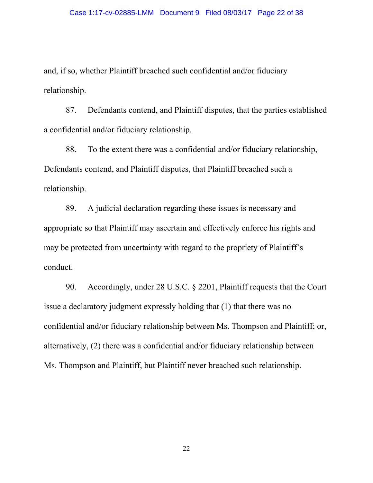and, if so, whether Plaintiff breached such confidential and/or fiduciary relationship.

87. Defendants contend, and Plaintiff disputes, that the parties established a confidential and/or fiduciary relationship.

88. To the extent there was a confidential and/or fiduciary relationship, Defendants contend, and Plaintiff disputes, that Plaintiff breached such a relationship.

89. A judicial declaration regarding these issues is necessary and appropriate so that Plaintiff may ascertain and effectively enforce his rights and may be protected from uncertainty with regard to the propriety of Plaintiff's conduct.

90. Accordingly, under 28 U.S.C. § 2201, Plaintiff requests that the Court issue a declaratory judgment expressly holding that (1) that there was no confidential and/or fiduciary relationship between Ms. Thompson and Plaintiff; or, alternatively, (2) there was a confidential and/or fiduciary relationship between Ms. Thompson and Plaintiff, but Plaintiff never breached such relationship.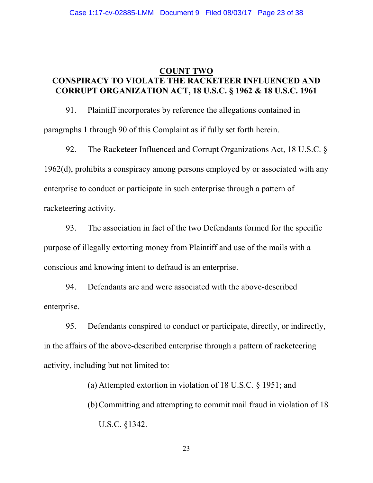## **COUNT TWO CONSPIRACY TO VIOLATE THE RACKETEER INFLUENCED AND CORRUPT ORGANIZATION ACT, 18 U.S.C. § 1962 & 18 U.S.C. 1961**

91. Plaintiff incorporates by reference the allegations contained in paragraphs 1 through 90 of this Complaint as if fully set forth herein.

92. The Racketeer Influenced and Corrupt Organizations Act, 18 U.S.C. § 1962(d), prohibits a conspiracy among persons employed by or associated with any enterprise to conduct or participate in such enterprise through a pattern of racketeering activity.

93. The association in fact of the two Defendants formed for the specific purpose of illegally extorting money from Plaintiff and use of the mails with a conscious and knowing intent to defraud is an enterprise.

94. Defendants are and were associated with the above-described enterprise.

95. Defendants conspired to conduct or participate, directly, or indirectly, in the affairs of the above-described enterprise through a pattern of racketeering activity, including but not limited to:

> (a) Attempted extortion in violation of 18 U.S.C. § 1951; and (b)Committing and attempting to commit mail fraud in violation of 18 U.S.C. §1342.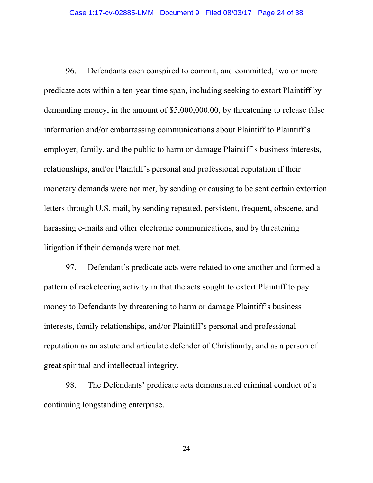96. Defendants each conspired to commit, and committed, two or more predicate acts within a ten-year time span, including seeking to extort Plaintiff by demanding money, in the amount of \$5,000,000.00, by threatening to release false information and/or embarrassing communications about Plaintiff to Plaintiff's employer, family, and the public to harm or damage Plaintiff's business interests, relationships, and/or Plaintiff's personal and professional reputation if their monetary demands were not met, by sending or causing to be sent certain extortion letters through U.S. mail, by sending repeated, persistent, frequent, obscene, and harassing e-mails and other electronic communications, and by threatening litigation if their demands were not met.

97. Defendant's predicate acts were related to one another and formed a pattern of racketeering activity in that the acts sought to extort Plaintiff to pay money to Defendants by threatening to harm or damage Plaintiff's business interests, family relationships, and/or Plaintiff's personal and professional reputation as an astute and articulate defender of Christianity, and as a person of great spiritual and intellectual integrity.

98. The Defendants' predicate acts demonstrated criminal conduct of a continuing longstanding enterprise.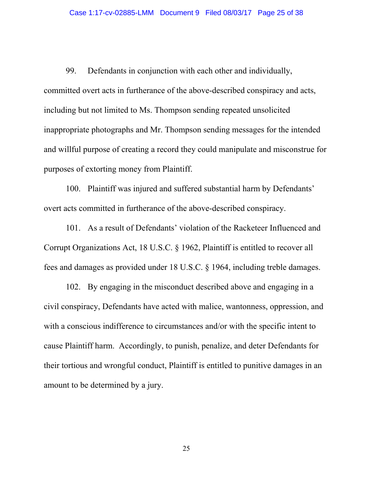99. Defendants in conjunction with each other and individually, committed overt acts in furtherance of the above-described conspiracy and acts, including but not limited to Ms. Thompson sending repeated unsolicited inappropriate photographs and Mr. Thompson sending messages for the intended and willful purpose of creating a record they could manipulate and misconstrue for purposes of extorting money from Plaintiff.

100. Plaintiff was injured and suffered substantial harm by Defendants' overt acts committed in furtherance of the above-described conspiracy.

101. As a result of Defendants' violation of the Racketeer Influenced and Corrupt Organizations Act, 18 U.S.C. § 1962, Plaintiff is entitled to recover all fees and damages as provided under 18 U.S.C. § 1964, including treble damages.

102. By engaging in the misconduct described above and engaging in a civil conspiracy, Defendants have acted with malice, wantonness, oppression, and with a conscious indifference to circumstances and/or with the specific intent to cause Plaintiff harm. Accordingly, to punish, penalize, and deter Defendants for their tortious and wrongful conduct, Plaintiff is entitled to punitive damages in an amount to be determined by a jury.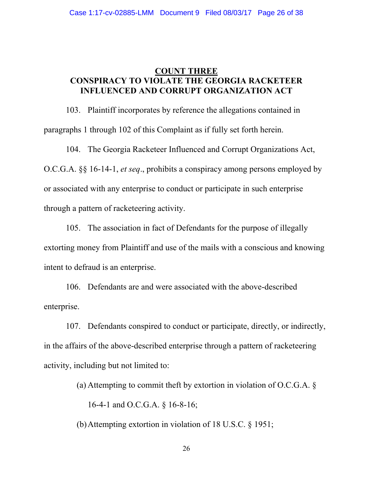## **COUNT THREE CONSPIRACY TO VIOLATE THE GEORGIA RACKETEER INFLUENCED AND CORRUPT ORGANIZATION ACT**

103. Plaintiff incorporates by reference the allegations contained in paragraphs 1 through 102 of this Complaint as if fully set forth herein.

104. The Georgia Racketeer Influenced and Corrupt Organizations Act, O.C.G.A. §§ 16-14-1, *et seq*., prohibits a conspiracy among persons employed by or associated with any enterprise to conduct or participate in such enterprise through a pattern of racketeering activity.

105. The association in fact of Defendants for the purpose of illegally extorting money from Plaintiff and use of the mails with a conscious and knowing intent to defraud is an enterprise.

106. Defendants are and were associated with the above-described enterprise.

107. Defendants conspired to conduct or participate, directly, or indirectly, in the affairs of the above-described enterprise through a pattern of racketeering activity, including but not limited to:

(a) Attempting to commit theft by extortion in violation of O.C.G.A.  $\S$ 

16-4-1 and O.C.G.A. § 16-8-16;

(b)Attempting extortion in violation of 18 U.S.C. § 1951;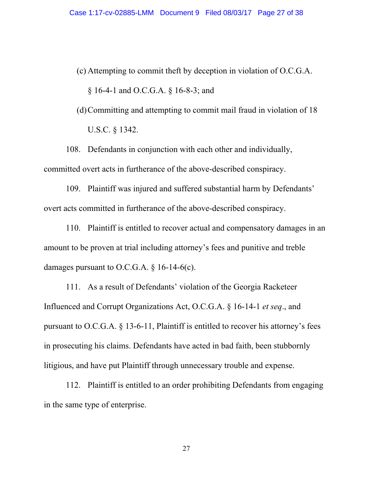(c) Attempting to commit theft by deception in violation of O.C.G.A.

§ 16-4-1 and O.C.G.A. § 16-8-3; and

(d)Committing and attempting to commit mail fraud in violation of 18 U.S.C. § 1342.

108. Defendants in conjunction with each other and individually, committed overt acts in furtherance of the above-described conspiracy.

109. Plaintiff was injured and suffered substantial harm by Defendants' overt acts committed in furtherance of the above-described conspiracy.

110. Plaintiff is entitled to recover actual and compensatory damages in an amount to be proven at trial including attorney's fees and punitive and treble damages pursuant to O.C.G.A.  $\S$  16-14-6(c).

111. As a result of Defendants' violation of the Georgia Racketeer Influenced and Corrupt Organizations Act, O.C.G.A. § 16-14-1 *et seq*., and pursuant to O.C.G.A. § 13-6-11, Plaintiff is entitled to recover his attorney's fees in prosecuting his claims. Defendants have acted in bad faith, been stubbornly litigious, and have put Plaintiff through unnecessary trouble and expense.

112. Plaintiff is entitled to an order prohibiting Defendants from engaging in the same type of enterprise.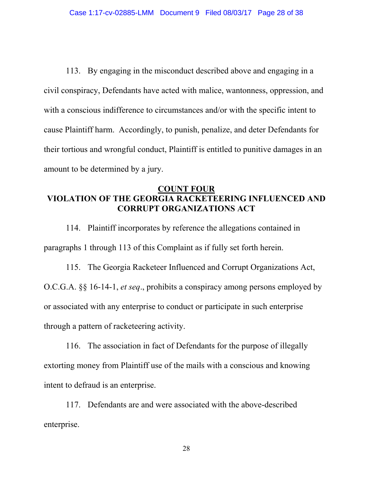113. By engaging in the misconduct described above and engaging in a civil conspiracy, Defendants have acted with malice, wantonness, oppression, and with a conscious indifference to circumstances and/or with the specific intent to cause Plaintiff harm. Accordingly, to punish, penalize, and deter Defendants for their tortious and wrongful conduct, Plaintiff is entitled to punitive damages in an amount to be determined by a jury.

# **COUNT FOUR VIOLATION OF THE GEORGIA RACKETEERING INFLUENCED AND CORRUPT ORGANIZATIONS ACT**

114. Plaintiff incorporates by reference the allegations contained in paragraphs 1 through 113 of this Complaint as if fully set forth herein.

115. The Georgia Racketeer Influenced and Corrupt Organizations Act, O.C.G.A. §§ 16-14-1, *et seq*., prohibits a conspiracy among persons employed by or associated with any enterprise to conduct or participate in such enterprise through a pattern of racketeering activity.

116. The association in fact of Defendants for the purpose of illegally extorting money from Plaintiff use of the mails with a conscious and knowing intent to defraud is an enterprise.

117. Defendants are and were associated with the above-described enterprise.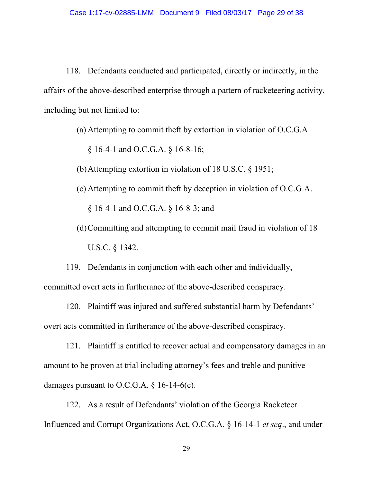118. Defendants conducted and participated, directly or indirectly, in the affairs of the above-described enterprise through a pattern of racketeering activity, including but not limited to:

(a) Attempting to commit theft by extortion in violation of O.C.G.A.

§ 16-4-1 and O.C.G.A. § 16-8-16;

(b)Attempting extortion in violation of 18 U.S.C. § 1951;

(c) Attempting to commit theft by deception in violation of O.C.G.A.

§ 16-4-1 and O.C.G.A. § 16-8-3; and

(d)Committing and attempting to commit mail fraud in violation of 18 U.S.C. § 1342.

119. Defendants in conjunction with each other and individually, committed overt acts in furtherance of the above-described conspiracy.

120. Plaintiff was injured and suffered substantial harm by Defendants' overt acts committed in furtherance of the above-described conspiracy.

121. Plaintiff is entitled to recover actual and compensatory damages in an amount to be proven at trial including attorney's fees and treble and punitive damages pursuant to O.C.G.A.  $\S$  16-14-6(c).

122. As a result of Defendants' violation of the Georgia Racketeer Influenced and Corrupt Organizations Act, O.C.G.A. § 16-14-1 *et seq*., and under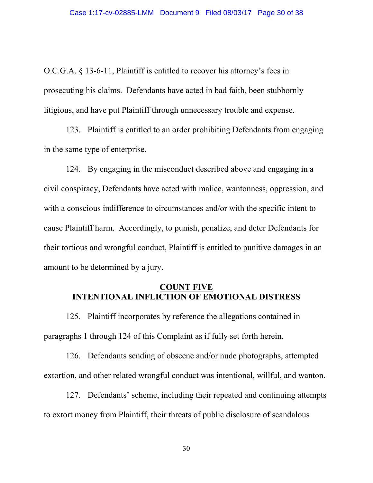O.C.G.A. § 13-6-11, Plaintiff is entitled to recover his attorney's fees in prosecuting his claims. Defendants have acted in bad faith, been stubbornly litigious, and have put Plaintiff through unnecessary trouble and expense.

123. Plaintiff is entitled to an order prohibiting Defendants from engaging in the same type of enterprise.

124. By engaging in the misconduct described above and engaging in a civil conspiracy, Defendants have acted with malice, wantonness, oppression, and with a conscious indifference to circumstances and/or with the specific intent to cause Plaintiff harm. Accordingly, to punish, penalize, and deter Defendants for their tortious and wrongful conduct, Plaintiff is entitled to punitive damages in an amount to be determined by a jury.

### **COUNT FIVE INTENTIONAL INFLICTION OF EMOTIONAL DISTRESS**

125. Plaintiff incorporates by reference the allegations contained in paragraphs 1 through 124 of this Complaint as if fully set forth herein.

126. Defendants sending of obscene and/or nude photographs, attempted extortion, and other related wrongful conduct was intentional, willful, and wanton.

127. Defendants' scheme, including their repeated and continuing attempts to extort money from Plaintiff, their threats of public disclosure of scandalous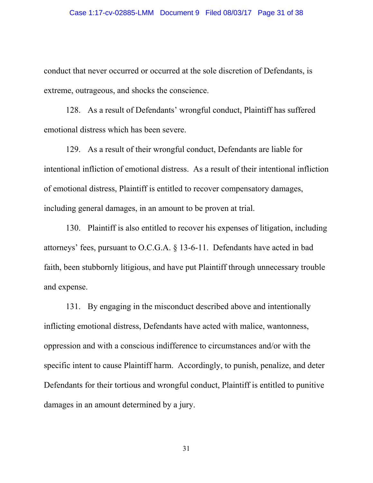conduct that never occurred or occurred at the sole discretion of Defendants, is extreme, outrageous, and shocks the conscience.

128. As a result of Defendants' wrongful conduct, Plaintiff has suffered emotional distress which has been severe.

129. As a result of their wrongful conduct, Defendants are liable for intentional infliction of emotional distress. As a result of their intentional infliction of emotional distress, Plaintiff is entitled to recover compensatory damages, including general damages, in an amount to be proven at trial.

130. Plaintiff is also entitled to recover his expenses of litigation, including attorneys' fees, pursuant to O.C.G.A. § 13-6-11. Defendants have acted in bad faith, been stubbornly litigious, and have put Plaintiff through unnecessary trouble and expense.

131. By engaging in the misconduct described above and intentionally inflicting emotional distress, Defendants have acted with malice, wantonness, oppression and with a conscious indifference to circumstances and/or with the specific intent to cause Plaintiff harm. Accordingly, to punish, penalize, and deter Defendants for their tortious and wrongful conduct, Plaintiff is entitled to punitive damages in an amount determined by a jury.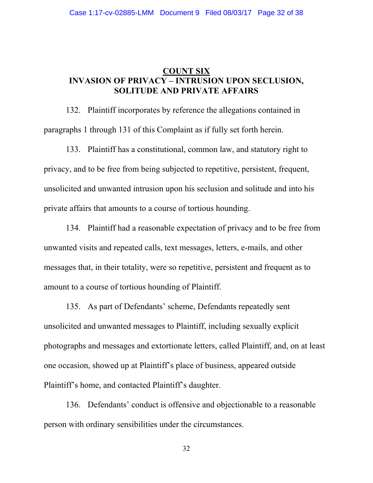## **COUNT SIX INVASION OF PRIVACY – INTRUSION UPON SECLUSION, SOLITUDE AND PRIVATE AFFAIRS**

132. Plaintiff incorporates by reference the allegations contained in paragraphs 1 through 131 of this Complaint as if fully set forth herein.

133. Plaintiff has a constitutional, common law, and statutory right to privacy, and to be free from being subjected to repetitive, persistent, frequent, unsolicited and unwanted intrusion upon his seclusion and solitude and into his private affairs that amounts to a course of tortious hounding.

134. Plaintiff had a reasonable expectation of privacy and to be free from unwanted visits and repeated calls, text messages, letters, e-mails, and other messages that, in their totality, were so repetitive, persistent and frequent as to amount to a course of tortious hounding of Plaintiff.

135. As part of Defendants' scheme, Defendants repeatedly sent unsolicited and unwanted messages to Plaintiff, including sexually explicit photographs and messages and extortionate letters, called Plaintiff, and, on at least one occasion, showed up at Plaintiff's place of business, appeared outside Plaintiff's home, and contacted Plaintiff's daughter.

136. Defendants' conduct is offensive and objectionable to a reasonable person with ordinary sensibilities under the circumstances.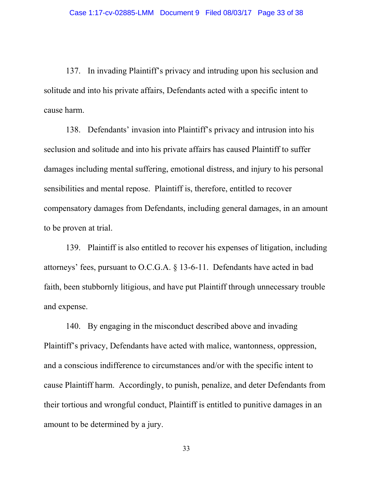137. In invading Plaintiff's privacy and intruding upon his seclusion and solitude and into his private affairs, Defendants acted with a specific intent to cause harm.

138. Defendants' invasion into Plaintiff's privacy and intrusion into his seclusion and solitude and into his private affairs has caused Plaintiff to suffer damages including mental suffering, emotional distress, and injury to his personal sensibilities and mental repose. Plaintiff is, therefore, entitled to recover compensatory damages from Defendants, including general damages, in an amount to be proven at trial.

139. Plaintiff is also entitled to recover his expenses of litigation, including attorneys' fees, pursuant to O.C.G.A. § 13-6-11. Defendants have acted in bad faith, been stubbornly litigious, and have put Plaintiff through unnecessary trouble and expense.

140. By engaging in the misconduct described above and invading Plaintiff's privacy, Defendants have acted with malice, wantonness, oppression, and a conscious indifference to circumstances and/or with the specific intent to cause Plaintiff harm. Accordingly, to punish, penalize, and deter Defendants from their tortious and wrongful conduct, Plaintiff is entitled to punitive damages in an amount to be determined by a jury.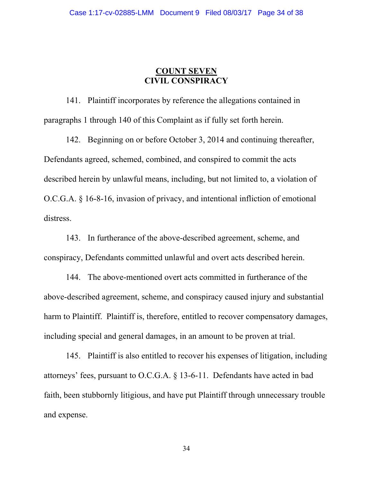# **COUNT SEVEN CIVIL CONSPIRACY**

141. Plaintiff incorporates by reference the allegations contained in paragraphs 1 through 140 of this Complaint as if fully set forth herein.

142. Beginning on or before October 3, 2014 and continuing thereafter, Defendants agreed, schemed, combined, and conspired to commit the acts described herein by unlawful means, including, but not limited to, a violation of O.C.G.A. § 16-8-16, invasion of privacy, and intentional infliction of emotional distress.

143. In furtherance of the above-described agreement, scheme, and conspiracy, Defendants committed unlawful and overt acts described herein.

144. The above-mentioned overt acts committed in furtherance of the above-described agreement, scheme, and conspiracy caused injury and substantial harm to Plaintiff. Plaintiff is, therefore, entitled to recover compensatory damages, including special and general damages, in an amount to be proven at trial.

145. Plaintiff is also entitled to recover his expenses of litigation, including attorneys' fees, pursuant to O.C.G.A. § 13-6-11. Defendants have acted in bad faith, been stubbornly litigious, and have put Plaintiff through unnecessary trouble and expense.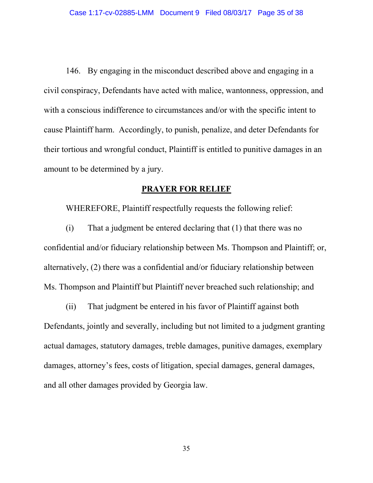146. By engaging in the misconduct described above and engaging in a civil conspiracy, Defendants have acted with malice, wantonness, oppression, and with a conscious indifference to circumstances and/or with the specific intent to cause Plaintiff harm. Accordingly, to punish, penalize, and deter Defendants for their tortious and wrongful conduct, Plaintiff is entitled to punitive damages in an amount to be determined by a jury.

## **PRAYER FOR RELIEF**

WHEREFORE, Plaintiff respectfully requests the following relief:

(i) That a judgment be entered declaring that (1) that there was no confidential and/or fiduciary relationship between Ms. Thompson and Plaintiff; or, alternatively, (2) there was a confidential and/or fiduciary relationship between Ms. Thompson and Plaintiff but Plaintiff never breached such relationship; and

(ii) That judgment be entered in his favor of Plaintiff against both Defendants, jointly and severally, including but not limited to a judgment granting actual damages, statutory damages, treble damages, punitive damages, exemplary damages, attorney's fees, costs of litigation, special damages, general damages, and all other damages provided by Georgia law.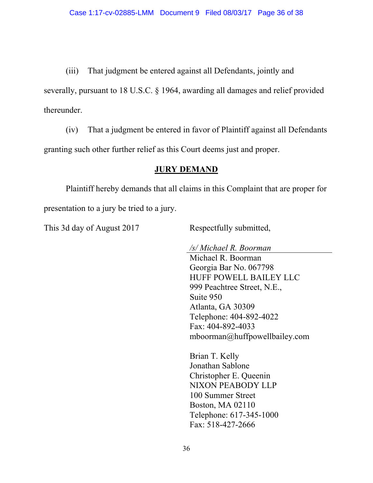(iii) That judgment be entered against all Defendants, jointly and severally, pursuant to 18 U.S.C. § 1964, awarding all damages and relief provided thereunder.

(iv) That a judgment be entered in favor of Plaintiff against all Defendants granting such other further relief as this Court deems just and proper.

## **JURY DEMAND**

 Plaintiff hereby demands that all claims in this Complaint that are proper for presentation to a jury be tried to a jury.

This 3d day of August 2017 Respectfully submitted,

*/s/ Michael R. Boorman*  Michael R. Boorman Georgia Bar No. 067798 HUFF POWELL BAILEY LLC 999 Peachtree Street, N.E., Suite 950 Atlanta, GA 30309 Telephone: 404-892-4022 Fax: 404-892-4033 mboorman@huffpowellbailey.com

 Brian T. Kelly Jonathan Sablone Christopher E. Queenin NIXON PEABODY LLP 100 Summer Street Boston, MA 02110 Telephone: 617-345-1000 Fax: 518-427-2666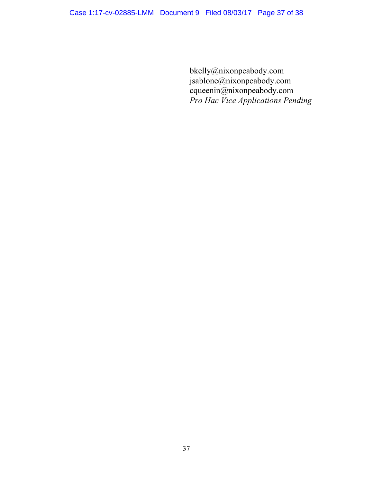bkelly@nixonpeabody.com jsablone@nixonpeabody.com cqueenin@nixonpeabody.com *Pro Hac Vice Applications Pending*